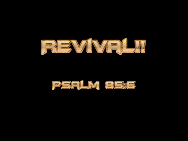

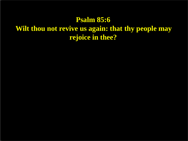#### **Psalm 85:6 Wilt thou not revive us again: that thy people may rejoice in thee?**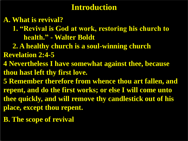### **Introduction**

#### **A. What is revival?**

- **1. "Revival is God at work, restoring his church to health." - Walter Boldt**
- **2. A healthy church is a soul-winning church Revelation 2:4-5**
- **4 Nevertheless I have somewhat against thee, because thou hast left thy first love.**
- **5 Remember therefore from whence thou art fallen, and repent, and do the first works; or else I will come unto thee quickly, and will remove thy candlestick out of his place, except thou repent.**
- **B. The scope of revival**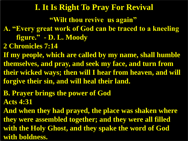### **I. It Is Right To Pray For Revival**

**"Wilt thou revive us again"**

- **A. "Every great work of God can be traced to a kneeling figure." - D. L. Moody**
- **2 Chronicles 7:14**
- **If my people, which are called by my name, shall humble themselves, and pray, and seek my face, and turn from their wicked ways; then will I hear from heaven, and will forgive their sin, and will heal their land.**
- **B. Prayer brings the power of God Acts 4:31**
- **And when they had prayed, the place was shaken where they were assembled together; and they were all filled with the Holy Ghost, and they spake the word of God with boldness.**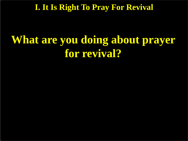**I. It Is Right To Pray For Revival**

# **What are you doing about prayer for revival?**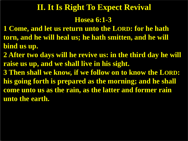## **Hosea 6:1-3 II. It Is Right To Expect Revival**

- **1 Come, and let us return unto the LORD: for he hath torn, and he will heal us; he hath smitten, and he will bind us up.**
- **2 After two days will he revive us: in the third day he will raise us up, and we shall live in his sight.**
- **3 Then shall we know, if we follow on to know the LORD: his going forth is prepared as the morning; and he shall come unto us as the rain, as the latter and former rain unto the earth.**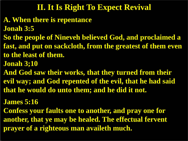- **A. When there is repentance**
- **Jonah 3:5**
- **So the people of Nineveh believed God, and proclaimed a**
- **fast, and put on sackcloth, from the greatest of them even to the least of them.**
- **Jonah 3;10**
- **And God saw their works, that they turned from their evil way; and God repented of the evil, that he had said that he would do unto them; and he did it not.**
- **James 5:16**
- **Confess your faults one to another, and pray one for another, that ye may be healed. The effectual fervent prayer of a righteous man availeth much.**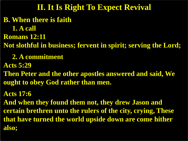**B. When there is faith 1. A call Romans 12:11 Not slothful in business; fervent in spirit; serving the Lord; 2. A commitment Acts 5:29 Then Peter and the other apostles answered and said, We ought to obey God rather than men. Acts 17:6 And when they found them not, they drew Jason and certain brethren unto the rulers of the city, crying, These that have turned the world upside down are come hither also; II. It Is Right To Expect Revival**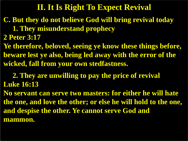### **C. But they do not believe God will bring revival today**

- **1. They misunderstand prophecy**
- **2 Peter 3:17**
- **Ye therefore, beloved, seeing ye know these things before, beware lest ye also, being led away with the error of the wicked, fall from your own stedfastness.**

### **2. They are unwilling to pay the price of revival Luke 16:13**

**No servant can serve two masters: for either he will hate the one, and love the other; or else he will hold to the one, and despise the other. Ye cannot serve God and mammon.**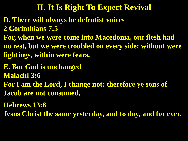- **D. There will always be defeatist voices 2 Corinthians 7:5**
- **For, when we were come into Macedonia, our flesh had**
- **no rest, but we were troubled on every side; without were fightings, within were fears.**
- **E. But God is unchanged**
- **Malachi 3:6**
- **For I am the Lord, I change not; therefore ye sons of Jacob are not consumed.**
- **Hebrews 13:8**
- **Jesus Christ the same yesterday, and to day, and for ever.**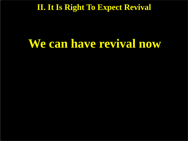## **We can have revival now**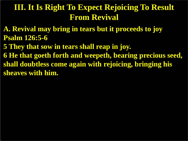### **III. It Is Right To Expect Rejoicing To Result From Revival**

- **A. Revival may bring in tears but it proceeds to joy Psalm 126:5-6**
- **5 They that sow in tears shall reap in joy.**
- **6 He that goeth forth and weepeth, bearing precious seed, shall doubtless come again with rejoicing, bringing his sheaves with him.**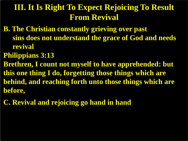### **III. It Is Right To Expect Rejoicing To Result From Revival**

- **B. The Christian constantly grieving over past sins does not understand the grace of God and needs revival**
- **Philippians 3:13**
- **Brethren, I count not myself to have apprehended: but this one thing I do, forgetting those things which are behind, and reaching forth unto those things which are before,**
- **C. Revival and rejoicing go hand in hand**